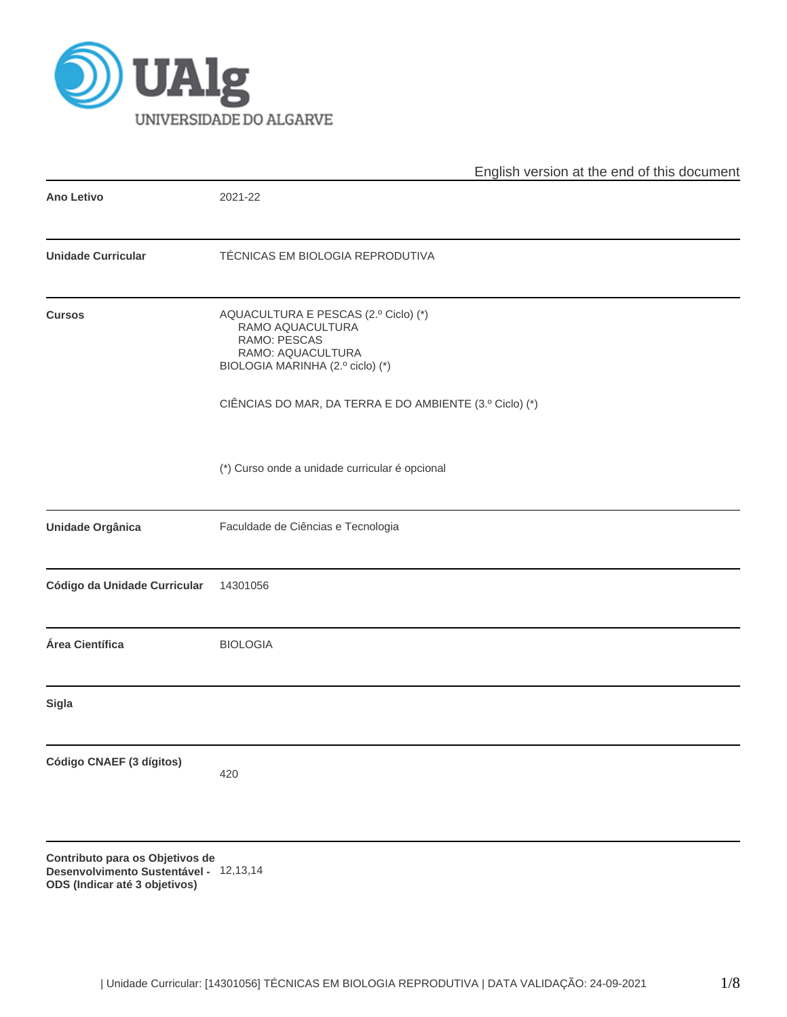

|                              | English version at the end of this document                                                                                       |
|------------------------------|-----------------------------------------------------------------------------------------------------------------------------------|
| <b>Ano Letivo</b>            | 2021-22                                                                                                                           |
| <b>Unidade Curricular</b>    | TÉCNICAS EM BIOLOGIA REPRODUTIVA                                                                                                  |
| <b>Cursos</b>                | AQUACULTURA E PESCAS (2.º Ciclo) (*)<br>RAMO AQUACULTURA<br>RAMO: PESCAS<br>RAMO: AQUACULTURA<br>BIOLOGIA MARINHA (2.º ciclo) (*) |
|                              | CIÊNCIAS DO MAR, DA TERRA E DO AMBIENTE (3.º Ciclo) (*)                                                                           |
|                              | (*) Curso onde a unidade curricular é opcional                                                                                    |
| Unidade Orgânica             | Faculdade de Ciências e Tecnologia                                                                                                |
| Código da Unidade Curricular | 14301056                                                                                                                          |
| Área Científica              | <b>BIOLOGIA</b>                                                                                                                   |
| <b>Sigla</b>                 |                                                                                                                                   |
| Código CNAEF (3 dígitos)     | 420                                                                                                                               |
| nara ao Ohiotivoo da         |                                                                                                                                   |

**Contributo para os Objetivos de Desenvolvimento Sustentável -** 12,13,14**ODS (Indicar até 3 objetivos)**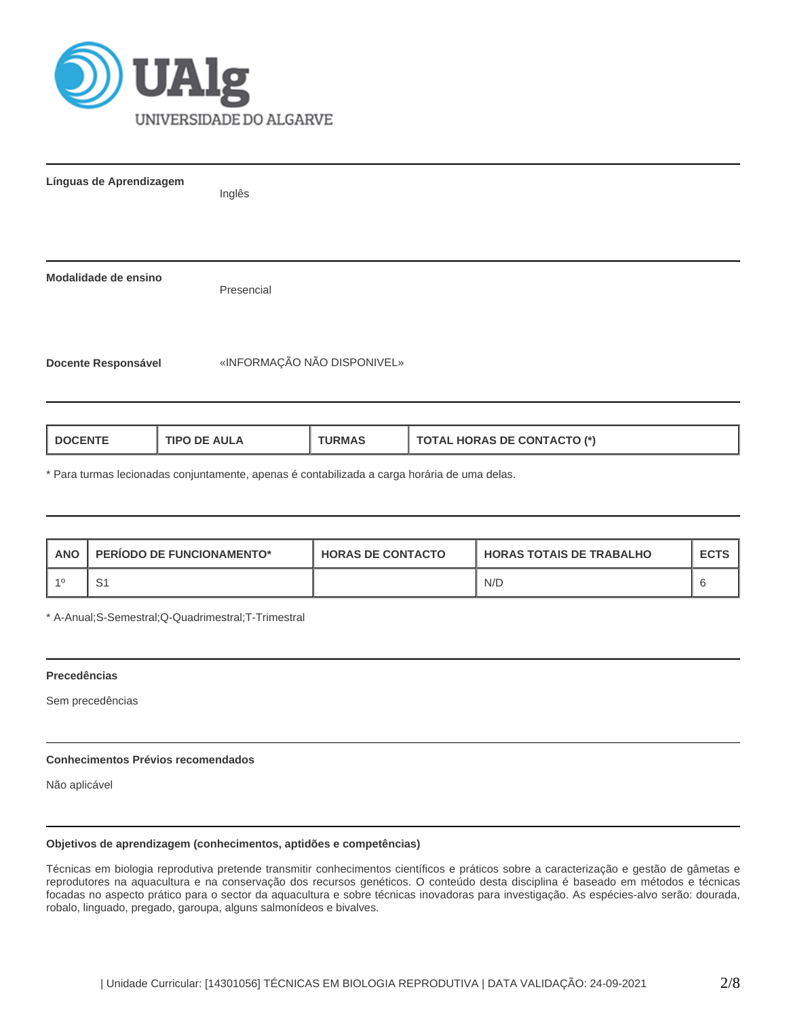

| Línguas de Aprendizagem    | Inglês                      |
|----------------------------|-----------------------------|
|                            |                             |
| Modalidade de ensino       | Presencial                  |
| <b>Docente Responsável</b> | «INFORMAÇÃO NÃO DISPONIVEL» |
|                            |                             |

| <b>I DOCENTE</b><br><b>TIPO DE AULA</b><br><b>URMAS</b> | <b>TOTAL HORAS DE CONTACTO (*)</b> |
|---------------------------------------------------------|------------------------------------|
|---------------------------------------------------------|------------------------------------|

\* Para turmas lecionadas conjuntamente, apenas é contabilizada a carga horária de uma delas.

| <b>ANO</b> | <b>PERIODO DE FUNCIONAMENTO*</b> | <b>HORAS DE CONTACTO</b> | <b>HORAS TOTAIS DE TRABALHO</b> | <b>ECTS</b> |
|------------|----------------------------------|--------------------------|---------------------------------|-------------|
|            |                                  |                          | N/D                             |             |

\* A-Anual;S-Semestral;Q-Quadrimestral;T-Trimestral

# **Precedências**

Sem precedências

## **Conhecimentos Prévios recomendados**

Não aplicável

#### **Objetivos de aprendizagem (conhecimentos, aptidões e competências)**

Técnicas em biologia reprodutiva pretende transmitir conhecimentos científicos e práticos sobre a caracterização e gestão de gâmetas e reprodutores na aquacultura e na conservação dos recursos genéticos. O conteúdo desta disciplina é baseado em métodos e técnicas focadas no aspecto prático para o sector da aquacultura e sobre técnicas inovadoras para investigação. As espécies-alvo serão: dourada, robalo, linguado, pregado, garoupa, alguns salmonídeos e bivalves.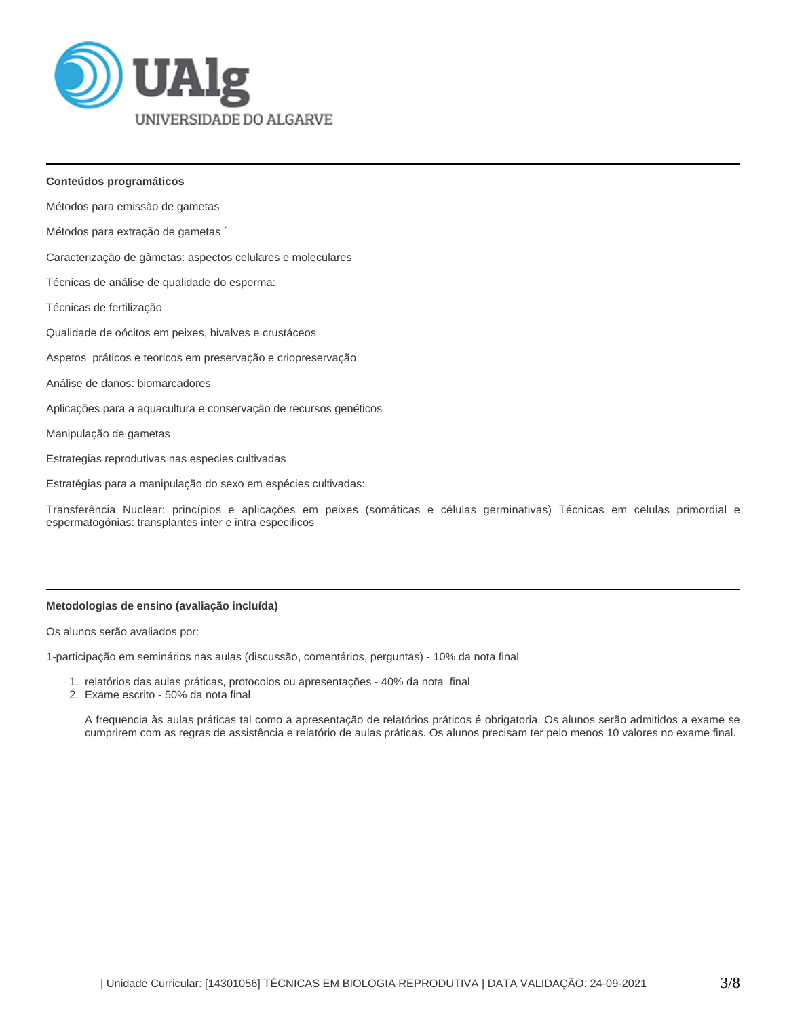

#### **Conteúdos programáticos**

Métodos para emissão de gametas

Métodos para extração de gametas ´

Caracterização de gâmetas: aspectos celulares e moleculares

Técnicas de análise de qualidade do esperma:

Técnicas de fertilização

Qualidade de oócitos em peixes, bivalves e crustáceos

Aspetos práticos e teoricos em preservação e criopreservação

- Análise de danos: biomarcadores
- Aplicações para a aquacultura e conservação de recursos genéticos

Manipulação de gametas

Estrategias reprodutivas nas especies cultivadas

Estratégias para a manipulação do sexo em espécies cultivadas:

Transferência Nuclear: princípios e aplicações em peixes (somáticas e células germinativas) Técnicas em celulas primordial e espermatogónias: transplantes inter e intra especificos

### **Metodologias de ensino (avaliação incluída)**

Os alunos serão avaliados por:

1-participação em seminários nas aulas (discussão, comentários, perguntas) - 10% da nota final

- 1. relatórios das aulas práticas, protocolos ou apresentações 40% da nota final
- 2. Exame escrito 50% da nota final

A frequencia às aulas práticas tal como a apresentação de relatórios práticos é obrigatoria. Os alunos serão admitidos a exame se cumprirem com as regras de assistência e relatório de aulas práticas. Os alunos precisam ter pelo menos 10 valores no exame final.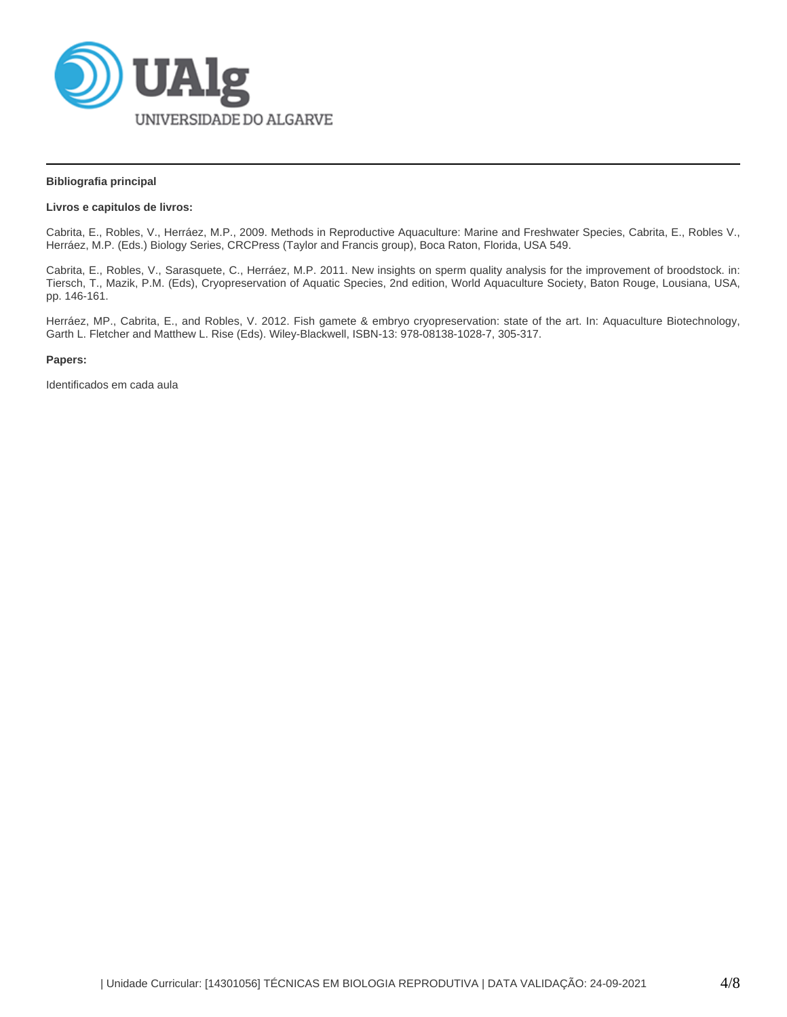

#### **Bibliografia principal**

### **Livros e capitulos de livros:**

Cabrita, E., Robles, V., Herráez, M.P., 2009. Methods in Reproductive Aquaculture: Marine and Freshwater Species, Cabrita, E., Robles V., Herráez, M.P. (Eds.) Biology Series, CRCPress (Taylor and Francis group), Boca Raton, Florida, USA 549.

Cabrita, E., Robles, V., Sarasquete, C., Herráez, M.P. 2011. New insights on sperm quality analysis for the improvement of broodstock. in: Tiersch, T., Mazik, P.M. (Eds), Cryopreservation of Aquatic Species, 2nd edition, World Aquaculture Society, Baton Rouge, Lousiana, USA, pp. 146-161.

Herráez, MP., Cabrita, E., and Robles, V. 2012. Fish gamete & embryo cryopreservation: state of the art. In: Aquaculture Biotechnology, Garth L. Fletcher and Matthew L. Rise (Eds). Wiley-Blackwell, ISBN-13: 978-08138-1028-7, 305-317.

#### **Papers:**

Identificados em cada aula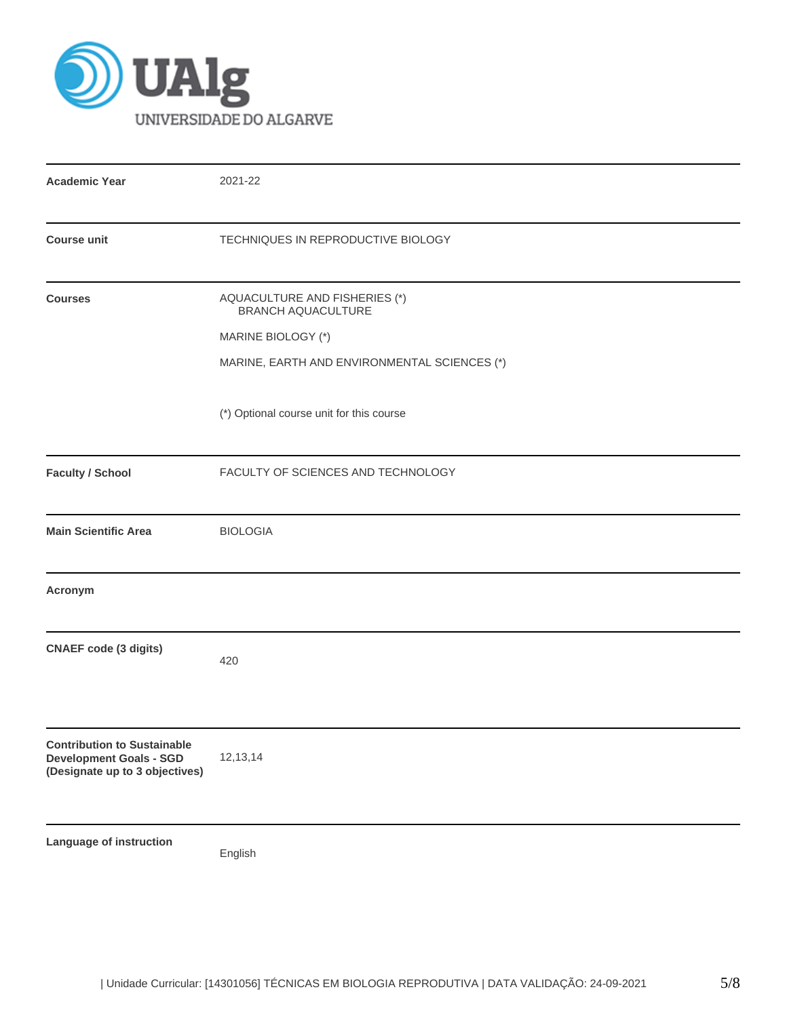

| <b>Academic Year</b>                                                                                   | 2021-22                                                                                                                   |
|--------------------------------------------------------------------------------------------------------|---------------------------------------------------------------------------------------------------------------------------|
| <b>Course unit</b>                                                                                     | TECHNIQUES IN REPRODUCTIVE BIOLOGY                                                                                        |
| <b>Courses</b>                                                                                         | AQUACULTURE AND FISHERIES (*)<br>BRANCH AQUACULTURE<br>MARINE BIOLOGY (*)<br>MARINE, EARTH AND ENVIRONMENTAL SCIENCES (*) |
|                                                                                                        | (*) Optional course unit for this course                                                                                  |
| <b>Faculty / School</b>                                                                                | FACULTY OF SCIENCES AND TECHNOLOGY                                                                                        |
| <b>Main Scientific Area</b>                                                                            | <b>BIOLOGIA</b>                                                                                                           |
| Acronym                                                                                                |                                                                                                                           |
| <b>CNAEF code (3 digits)</b>                                                                           | 420                                                                                                                       |
| <b>Contribution to Sustainable</b><br><b>Development Goals - SGD</b><br>(Designate up to 3 objectives) | 12,13,14                                                                                                                  |
| Language of instruction                                                                                | English                                                                                                                   |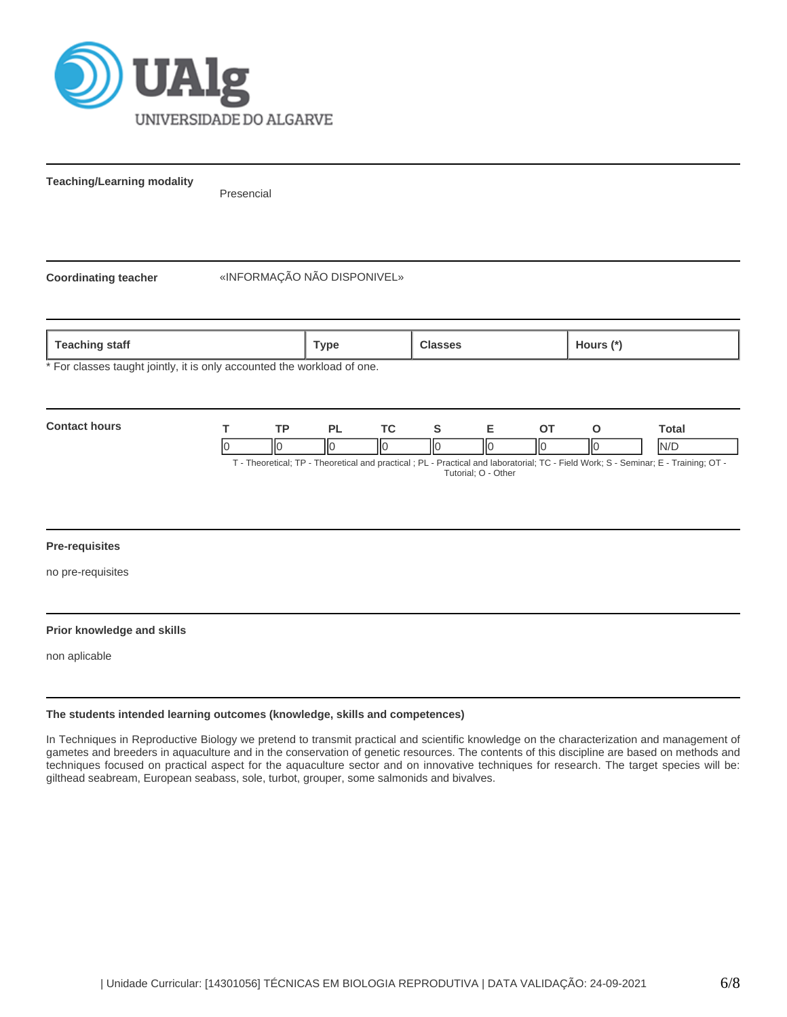

**Teaching/Learning modality**

Presencial

**Coordinating teacher** «INFORMAÇÃO NÃO DISPONIVEL»

**Teaching staff Type Classes Hours (\*)**

For classes taught jointly, it is only accounted the workload of one.



#### **Pre-requisites**

no pre-requisites

#### **Prior knowledge and skills**

non aplicable

#### **The students intended learning outcomes (knowledge, skills and competences)**

In Techniques in Reproductive Biology we pretend to transmit practical and scientific knowledge on the characterization and management of gametes and breeders in aquaculture and in the conservation of genetic resources. The contents of this discipline are based on methods and techniques focused on practical aspect for the aquaculture sector and on innovative techniques for research. The target species will be: gilthead seabream, European seabass, sole, turbot, grouper, some salmonids and bivalves.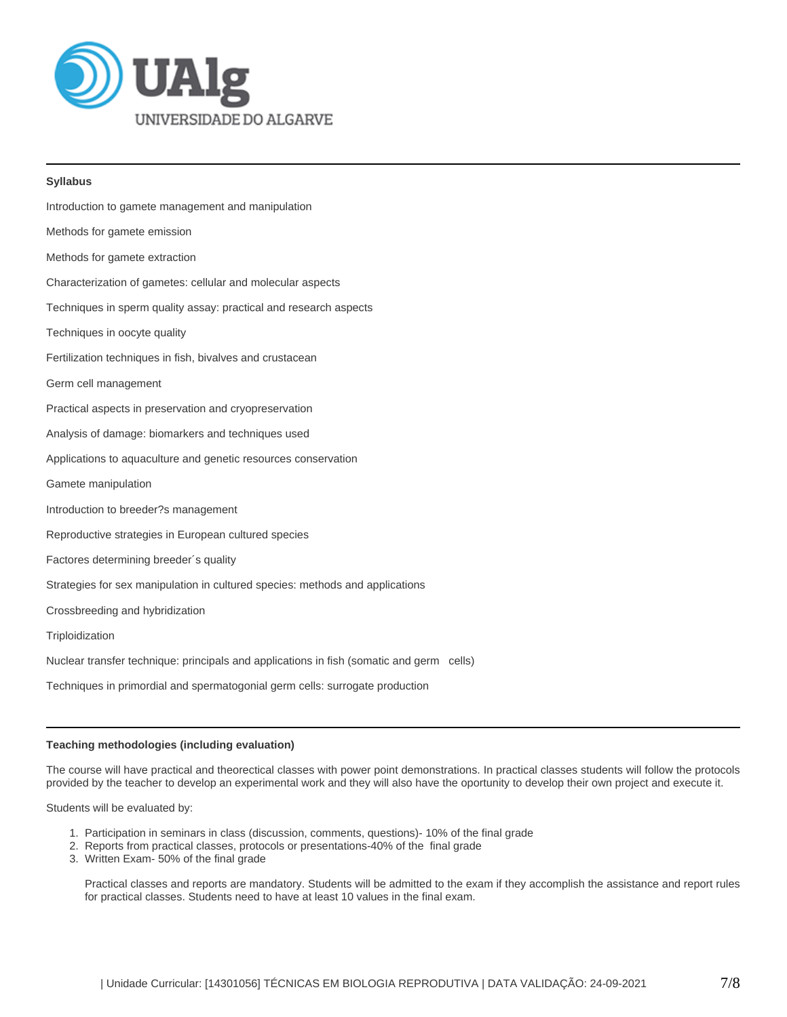

#### **Syllabus**

| Introduction to gamete management and manipulation                                       |
|------------------------------------------------------------------------------------------|
| Methods for gamete emission                                                              |
| Methods for gamete extraction                                                            |
| Characterization of gametes: cellular and molecular aspects                              |
| Techniques in sperm quality assay: practical and research aspects                        |
| Techniques in oocyte quality                                                             |
| Fertilization techniques in fish, bivalves and crustacean                                |
| Germ cell management                                                                     |
| Practical aspects in preservation and cryopreservation                                   |
| Analysis of damage: biomarkers and techniques used                                       |
| Applications to aquaculture and genetic resources conservation                           |
| Gamete manipulation                                                                      |
| Introduction to breeder?s management                                                     |
| Reproductive strategies in European cultured species                                     |
| Factores determining breeder's quality                                                   |
| Strategies for sex manipulation in cultured species: methods and applications            |
| Crossbreeding and hybridization                                                          |
| Triploidization                                                                          |
| Nuclear transfer technique: principals and applications in fish (somatic and germ cells) |
| Techniques in primordial and spermatogonial germ cells: surrogate production             |

#### **Teaching methodologies (including evaluation)**

The course will have practical and theorectical classes with power point demonstrations. In practical classes students will follow the protocols provided by the teacher to develop an experimental work and they will also have the oportunity to develop their own project and execute it.

Students will be evaluated by:

- 1. Participation in seminars in class (discussion, comments, questions)- 10% of the final grade
- 2. Reports from practical classes, protocols or presentations-40% of the final grade
- 3. Written Exam- 50% of the final grade

Practical classes and reports are mandatory. Students will be admitted to the exam if they accomplish the assistance and report rules for practical classes. Students need to have at least 10 values in the final exam.